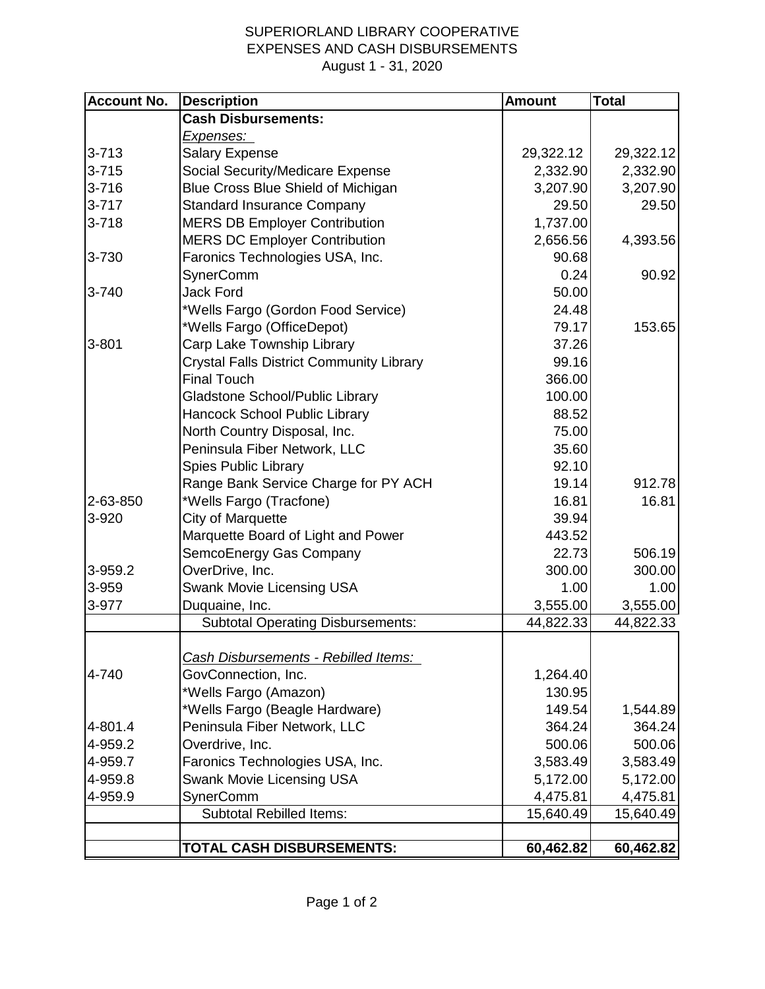## SUPERIORLAND LIBRARY COOPERATIVE EXPENSES AND CASH DISBURSEMENTS August 1 - 31, 2020

| <b>Account No.</b> | <b>Description</b>                              | <b>Amount</b> | <b>Total</b> |
|--------------------|-------------------------------------------------|---------------|--------------|
|                    | <b>Cash Disbursements:</b>                      |               |              |
|                    | Expenses:                                       |               |              |
| $3 - 713$          | <b>Salary Expense</b>                           | 29,322.12     | 29,322.12    |
| $3 - 715$          | Social Security/Medicare Expense                | 2,332.90      | 2,332.90     |
| $3 - 716$          | Blue Cross Blue Shield of Michigan              | 3,207.90      | 3,207.90     |
| $3 - 717$          | <b>Standard Insurance Company</b>               | 29.50         | 29.50        |
| $3 - 718$          | <b>MERS DB Employer Contribution</b>            | 1,737.00      |              |
|                    | <b>MERS DC Employer Contribution</b>            | 2,656.56      | 4,393.56     |
| 3-730              | Faronics Technologies USA, Inc.                 | 90.68         |              |
|                    | <b>SynerComm</b>                                | 0.24          | 90.92        |
| 3-740              | <b>Jack Ford</b>                                | 50.00         |              |
|                    | *Wells Fargo (Gordon Food Service)              | 24.48         |              |
|                    | *Wells Fargo (OfficeDepot)                      | 79.17         | 153.65       |
| $3 - 801$          | Carp Lake Township Library                      | 37.26         |              |
|                    | <b>Crystal Falls District Community Library</b> | 99.16         |              |
|                    | <b>Final Touch</b>                              | 366.00        |              |
|                    | Gladstone School/Public Library                 | 100.00        |              |
|                    | Hancock School Public Library                   | 88.52         |              |
|                    | North Country Disposal, Inc.                    | 75.00         |              |
|                    | Peninsula Fiber Network, LLC                    | 35.60         |              |
|                    | <b>Spies Public Library</b>                     | 92.10         |              |
|                    | Range Bank Service Charge for PY ACH            | 19.14         | 912.78       |
| 2-63-850           | *Wells Fargo (Tracfone)                         | 16.81         | 16.81        |
| 3-920              | <b>City of Marquette</b>                        | 39.94         |              |
|                    | Marquette Board of Light and Power              | 443.52        |              |
|                    | SemcoEnergy Gas Company                         | 22.73         | 506.19       |
| 3-959.2            | OverDrive, Inc.                                 | 300.00        | 300.00       |
| 3-959              | Swank Movie Licensing USA                       | 1.00          | 1.00         |
| 3-977              | Duquaine, Inc.                                  | 3,555.00      | 3,555.00     |
|                    | <b>Subtotal Operating Disbursements:</b>        | 44,822.33     | 44,822.33    |
|                    |                                                 |               |              |
|                    | Cash Disbursements - Rebilled Items:            |               |              |
| 4-740              | GovConnection, Inc.                             | 1,264.40      |              |
|                    | *Wells Fargo (Amazon)                           | 130.95        |              |
|                    | *Wells Fargo (Beagle Hardware)                  | 149.54        | 1,544.89     |
| 4-801.4            | Peninsula Fiber Network, LLC                    | 364.24        | 364.24       |
| 4-959.2            | Overdrive, Inc.                                 | 500.06        | 500.06       |
| 4-959.7            | Faronics Technologies USA, Inc.                 | 3,583.49      | 3,583.49     |
| 4-959.8            | Swank Movie Licensing USA                       | 5,172.00      | 5,172.00     |
| 4-959.9            | SynerComm                                       | 4,475.81      | 4,475.81     |
|                    | <b>Subtotal Rebilled Items:</b>                 | 15,640.49     | 15,640.49    |
|                    | <b>TOTAL CASH DISBURSEMENTS:</b>                |               |              |
|                    |                                                 | 60,462.82     | 60,462.82    |